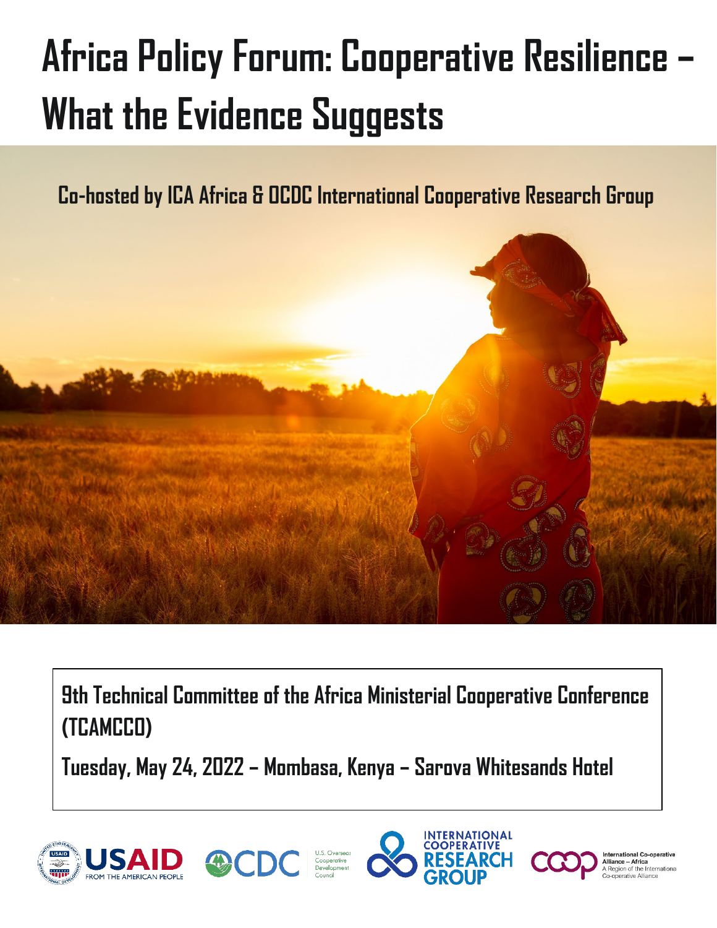# **Africa Policy Forum: Cooperative Resilience – What the Evidence Suggests**

**Co-hosted by ICA Africa & OCDC International Cooperative Research Group**



**9th Technical Committee of the Africa Ministerial Cooperative Conference (TCAMCCO)** 

**Tuesday, May 24, 2022 – Mombasa, Kenya – Sarova Whitesands Hotel**









nternational Co-operative Alliance - Africa Region of the International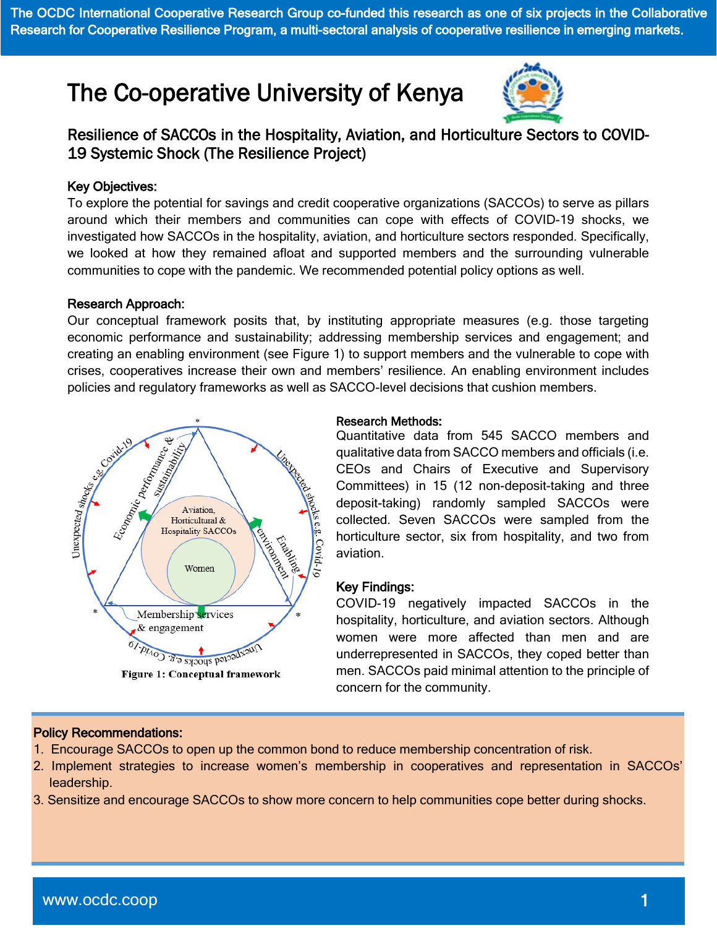The OCDC International Cooperative Research Group co-funded this research as one of six projects in the Collaborative Research for Cooperative Resilience Program, a multi-sectoral analysis of cooperative resilience in emerging markets.

# The Co-operative University of Kenya



### Resilience of SACCOs in the Hospitality, Aviation, and Horticulture Sectors to COVID-19 Systemic Shock (The Resilience Project)

#### Key Objectives:

To explore the potential for savings and credit cooperative organizations (SACCOs) to serve as pillars around which their members and communities can cope with effects of COVID-19 shocks, we investigated how SACCOs in the hospitality, aviation, and horticulture sectors responded. Specifically, we looked at how they remained afloat and supported members and the surrounding vulnerable communities to cope with the pandemic. We recommended potential policy options as well.

#### Research Approach:

Our conceptual framework posits that, by instituting appropriate measures (e.g. those targeting economic performance and sustainability; addressing membership services and engagement; and creating an enabling environment (see Figure 1) to support members and the vulnerable to cope with crises, cooperatives increase their own and members' resilience. An enabling environment includes policies and regulatory frameworks as well as SACCO-level decisions that cushion members.



#### **Figure 1: Conceptual framework**

#### Research Methods:

Quantitative data from 545 SACCO members and qualitative data from SACCO members and officials (i.e. CEOs and Chairs of Executive and Supervisory Committees) in 15 (12 non-deposit-taking and three deposit-taking) randomly sampled SACCOs were collected. Seven SACCOs were sampled from the horticulture sector, six from hospitality, and two from aviation.

#### Key Findings:

COVID-19 negatively impacted SACCOs in the hospitality, horticulture, and aviation sectors. Although women were more affected than men and are underrepresented in SACCOs, they coped better than men. SACCOs paid minimal attention to the principle of concern for the community.

#### I Policy Recommendations:

- 1. Encourage SACCOs to open up the common bond to reduce membership concentration of risk.
- 2. Implement strategies to increase women's membership in cooperatives and representation in SACCOs' leadership.
- 3. Sensitize and encourage SACCOs to show more concern to help communities cope better during shocks.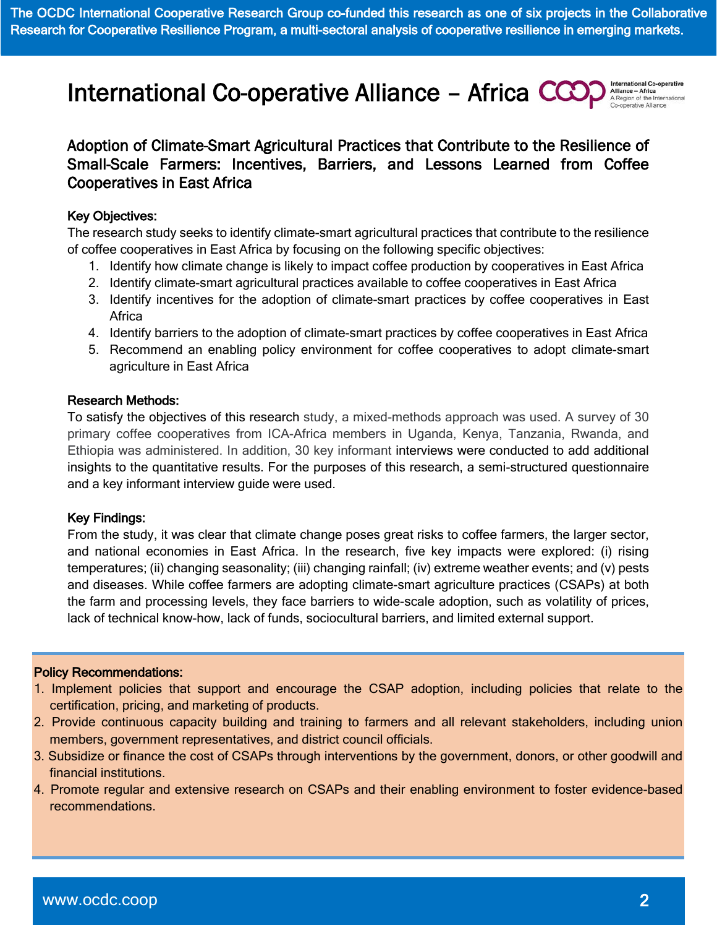International Co-operative Alliance - Africa CCC

Alliance - Africa A Region of the Intern

## Adoption of Climate-Smart Agricultural Practices that Contribute to the Resilience of Small-Scale Farmers: Incentives, Barriers, and Lessons Learned from Coffee Cooperatives in East Africa

#### Key Objectives:

The research study seeks to identify climate-smart agricultural practices that contribute to the resilience of coffee cooperatives in East Africa by focusing on the following specific objectives:

- 1. Identify how climate change is likely to impact coffee production by cooperatives in East Africa
- 2. Identify climate-smart agricultural practices available to coffee cooperatives in East Africa
- 3. Identify incentives for the adoption of climate-smart practices by coffee cooperatives in East **Africa**
- 4. Identify barriers to the adoption of climate-smart practices by coffee cooperatives in East Africa
- 5. Recommend an enabling policy environment for coffee cooperatives to adopt climate-smart agriculture in East Africa

#### Research Methods:

To satisfy the objectives of this research study, a mixed-methods approach was used. A survey of 30 primary coffee cooperatives from ICA-Africa members in Uganda, Kenya, Tanzania, Rwanda, and Ethiopia was administered. In addition, 30 key informant interviews were conducted to add additional insights to the quantitative results. For the purposes of this research, a semi-structured questionnaire and a key informant interview guide were used.

#### Key Findings:

From the study, it was clear that climate change poses great risks to coffee farmers, the larger sector, and national economies in East Africa. In the research, five key impacts were explored: (i) rising temperatures; (ii) changing seasonality; (iii) changing rainfall; (iv) extreme weather events; and (v) pests and diseases. While coffee farmers are adopting climate-smart agriculture practices (CSAPs) at both the farm and processing levels, they face barriers to wide-scale adoption, such as volatility of prices, lack of technical know-how, lack of funds, sociocultural barriers, and limited external support.

#### Policy Recommendations:

- 1. Implement policies that support and encourage the CSAP adoption, including policies that relate to the certification, pricing, and marketing of products.
- 2. Provide continuous capacity building and training to farmers and all relevant stakeholders, including union members, government representatives, and district council officials.
- 3. Subsidize or finance the cost of CSAPs through interventions by the government, donors, or other goodwill and financial institutions.
- 4. Promote regular and extensive research on CSAPs and their enabling environment to foster evidence-based recommendations.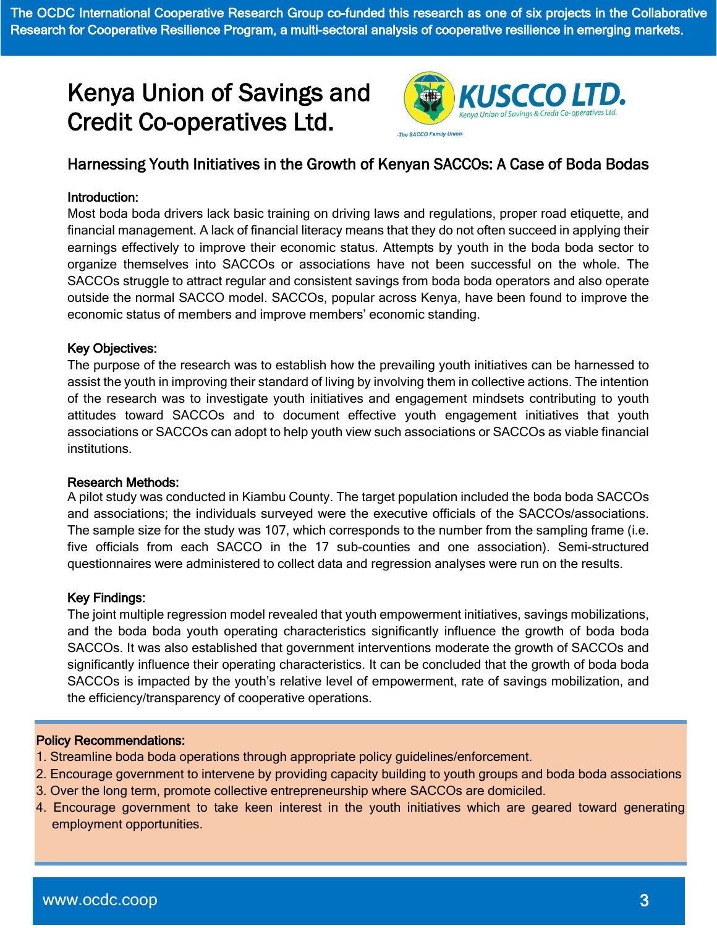The OCDC International Cooperative Research Group co-funded this research as one of six projects in the Collaborative Research for Cooperative Resilience Program, a multi-sectoral analysis of cooperative resilience in emerging markets.

# Kenya Union of Savings and Credit Co-operatives Ltd.



## Harnessing Youth Initiatives in the Growth of Kenyan SACCOs: A Case of Boda Bodas

#### Introduction:

Most boda boda drivers lack basic training on driving laws and regulations, proper road etiquette, and financial management. A lack of financial literacy means that they do not often succeed in applying their earnings effectively to improve their economic status. Attempts by youth in the boda boda sector to organize themselves into SACCOs or associations have not been successful on the whole. The SACCOs struggle to attract regular and consistent savings from boda boda operators and also operate outside the normal SACCO model. SACCOs, popular across Kenya, have been found to improve the economic status of members and improve members' economic standing.

#### Key Objectives:

The purpose of the research was to establish how the prevailing youth initiatives can be harnessed to assist the youth in improving their standard of living by involving them in collective actions. The intention of the research was to investigate youth initiatives and engagement mindsets contributing to youth attitudes toward SACCOs and to document effective youth engagement initiatives that youth associations or SACCOs can adopt to help youth view such associations or SACCOs as viable financial institutions.

#### Research Methods:

A pilot study was conducted in Kiambu County. The target population included the boda boda SACCOs and associations; the individuals surveyed were the executive officials of the SACCOs/associations. The sample size for the study was 107, which corresponds to the number from the sampling frame (i.e. five officials from each SACCO in the 17 sub-counties and one association). Semi-structured questionnaires were administered to collect data and regression analyses were run on the results.

#### Key Findings:

The joint multiple regression model revealed that youth empowerment initiatives, savings mobilizations, and the boda boda youth operating characteristics significantly influence the growth of boda boda SACCOs. It was also established that government interventions moderate the growth of SACCOs and significantly influence their operating characteristics. It can be concluded that the growth of boda boda SACCOs is impacted by the youth's relative level of empowerment, rate of savings mobilization, and the efficiency/transparency of cooperative operations.

#### Policy Recommendations:

- 1. Streamline boda boda operations through appropriate policy guidelines/enforcement.
- 2. Encourage government to intervene by providing capacity building to youth groups and boda boda associations
- 3. Over the long term, promote collective entrepreneurship where SACCOs are domiciled.
- 4. Encourage government to take keen interest in the youth initiatives which are geared toward generating employment opportunities.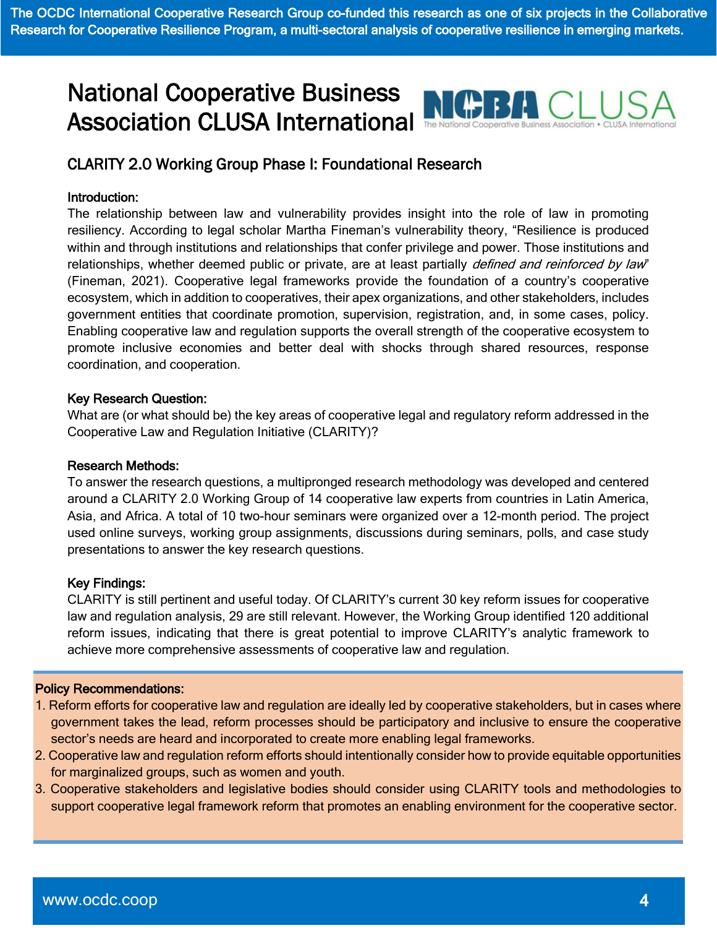# National Cooperative Business Association CLUSA International



## CLARITY 2.0 Working Group Phase I: Foundational Research

#### Introduction:

The relationship between law and vulnerability provides insight into the role of law in promoting resiliency. According to legal scholar Martha Fineman's vulnerability theory, "Resilience is produced within and through institutions and relationships that confer privilege and power. Those institutions and relationships, whether deemed public or private, are at least partially *defined and reinforced by law*" (Fineman, 2021). Cooperative legal frameworks provide the foundation of a country's cooperative ecosystem, which in addition to cooperatives, their apex organizations, and other stakeholders, includes government entities that coordinate promotion, supervision, registration, and, in some cases, policy. Enabling cooperative law and regulation supports the overall strength of the cooperative ecosystem to promote inclusive economies and better deal with shocks through shared resources, response coordination, and cooperation.

#### Key Research Question:

What are (or what should be) the key areas of cooperative legal and regulatory reform addressed in the Cooperative Law and Regulation Initiative (CLARITY)?

#### Research Methods:

To answer the research questions, a multipronged research methodology was developed and centered around a CLARITY 2.0 Working Group of 14 cooperative law experts from countries in Latin America, Asia, and Africa. A total of 10 two-hour seminars were organized over a 12-month period. The project used online surveys, working group assignments, discussions during seminars, polls, and case study presentations to answer the key research questions.

#### Key Findings:

CLARITY is still pertinent and useful today. Of CLARITY's current 30 key reform issues for cooperative law and regulation analysis, 29 are still relevant. However, the Working Group identified 120 additional reform issues, indicating that there is great potential to improve CLARITY's analytic framework to achieve more comprehensive assessments of cooperative law and regulation.

#### Ī Policy Recommendations:

- 1. Reform efforts for cooperative law and regulation are ideally led by cooperative stakeholders, but in cases where government takes the lead, reform processes should be participatory and inclusive to ensure the cooperative sector's needs are heard and incorporated to create more enabling legal frameworks.
- 2. Cooperative law and regulation reform efforts should intentionally consider how to provide equitable opportunities for marginalized groups, such as women and youth.
- 3. Cooperative stakeholders and legislative bodies should consider using CLARITY tools and methodologies to support cooperative legal framework reform that promotes an enabling environment for the cooperative sector.